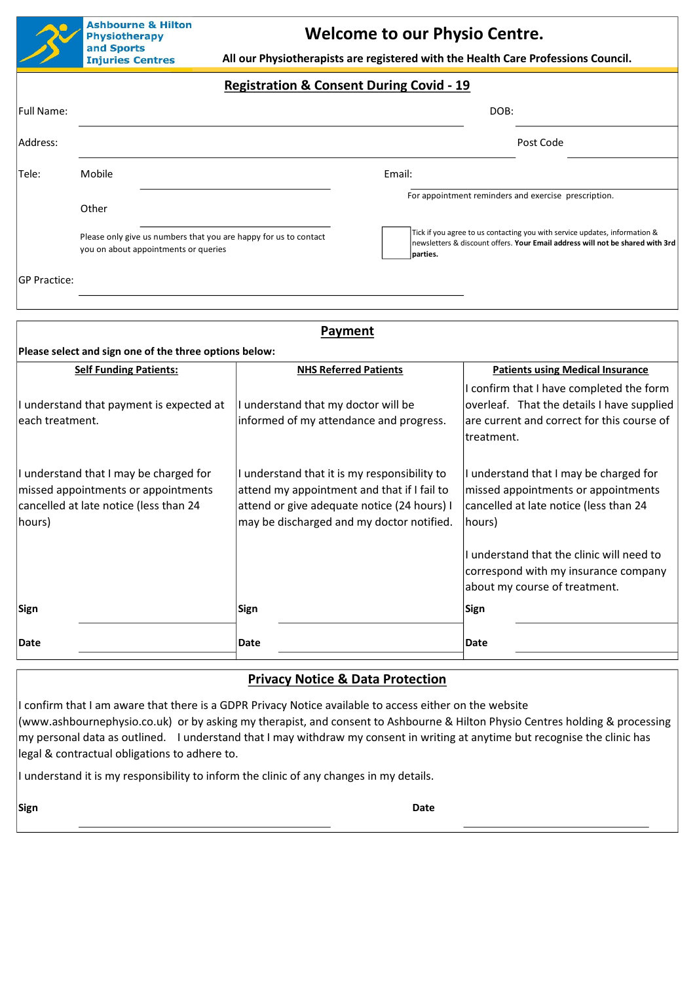

**Welcome to our Physio Centre.** 

 **All our Physiotherapists are registered with the Health Care Professions Council.**

## **Registration & Consent During Covid - 19**

| <b>Full Name:</b> |                                                                                                          | DOB:                                                                                                                                                                    |                                                      |
|-------------------|----------------------------------------------------------------------------------------------------------|-------------------------------------------------------------------------------------------------------------------------------------------------------------------------|------------------------------------------------------|
| Address:          |                                                                                                          |                                                                                                                                                                         | Post Code                                            |
| Tele:             | Mobile                                                                                                   | Email:                                                                                                                                                                  |                                                      |
|                   | Other                                                                                                    |                                                                                                                                                                         | For appointment reminders and exercise prescription. |
|                   | Please only give us numbers that you are happy for us to contact<br>you on about appointments or queries | Tick if you agree to us contacting you with service updates, information &<br>newsletters & discount offers. Your Email address will not be shared with 3rd<br>parties. |                                                      |

GP Practice:

| Payment                                                                                                                           |                                                                                                                                                                                         |                                                                                                                                                    |  |  |  |  |
|-----------------------------------------------------------------------------------------------------------------------------------|-----------------------------------------------------------------------------------------------------------------------------------------------------------------------------------------|----------------------------------------------------------------------------------------------------------------------------------------------------|--|--|--|--|
| Please select and sign one of the three options below:                                                                            |                                                                                                                                                                                         |                                                                                                                                                    |  |  |  |  |
| <b>Self Funding Patients:</b>                                                                                                     | <b>NHS Referred Patients</b>                                                                                                                                                            | <b>Patients using Medical Insurance</b>                                                                                                            |  |  |  |  |
| understand that payment is expected at<br>each treatment.                                                                         | I understand that my doctor will be<br>informed of my attendance and progress.                                                                                                          | I confirm that I have completed the form<br>overleaf. That the details I have supplied<br>are current and correct for this course of<br>treatment. |  |  |  |  |
| I understand that I may be charged for<br>missed appointments or appointments<br>cancelled at late notice (less than 24<br>hours) | I understand that it is my responsibility to<br>attend my appointment and that if I fail to<br>attend or give adequate notice (24 hours) I<br>may be discharged and my doctor notified. | I understand that I may be charged for<br>missed appointments or appointments<br>cancelled at late notice (less than 24<br>hours)                  |  |  |  |  |
|                                                                                                                                   |                                                                                                                                                                                         | I understand that the clinic will need to<br>correspond with my insurance company<br>about my course of treatment.                                 |  |  |  |  |
| Sign                                                                                                                              | Sign                                                                                                                                                                                    | <b>Sign</b>                                                                                                                                        |  |  |  |  |
| Date                                                                                                                              | Date                                                                                                                                                                                    | Date                                                                                                                                               |  |  |  |  |

## **Privacy Notice & Data Protection**

I confirm that I am aware that there is a GDPR Privacy Notice available to access either on the website (www.ashbournephysio.co.uk) or by asking my therapist, and consent to Ashbourne & Hilton Physio Centres holding & processing my personal data as outlined. I understand that I may withdraw my consent in writing at anytime but recognise the clinic has legal & contractual obligations to adhere to.

I understand it is my responsibility to inform the clinic of any changes in my details.